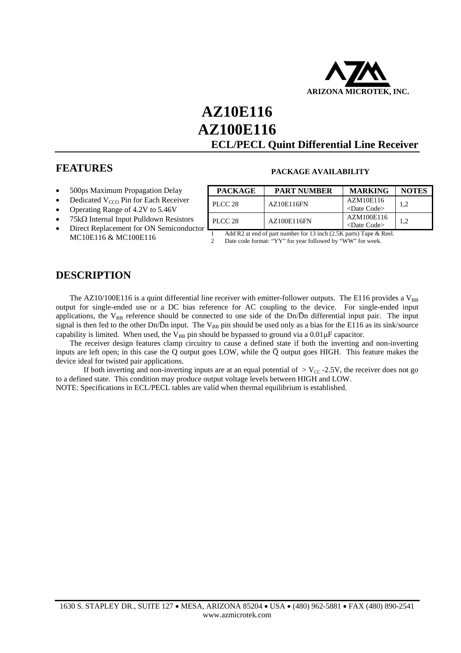

# **AZ10E116 AZ100E116 ECL/PECL Quint Differential Line Receiver**

## **FEATURES**

- 500ps Maximum Propagation Delay
- Dedicated V<sub>CCO</sub> Pin for Each Receiver
- Operating Range of 4.2V to 5.46V
- 75kΩ Internal Input Pulldown Resistors
- Direct Replacement for ON Semiconductor MC10E116 & MC100E116

| <b>PACKAGE</b> | <b>PART NUMBER</b> | <b>MARKING</b>                | <b>NOTES</b> |  |
|----------------|--------------------|-------------------------------|--------------|--|
| $PLCC$ 28      | AZ10E116FN         | AZM10E116                     | 1.2          |  |
|                |                    | <date code=""></date>         |              |  |
| $PLCC$ 28      | AZ100E116FN        | AZM100E116                    | 1.2          |  |
|                |                    | $\langle$ Date Code $\rangle$ |              |  |

**PACKAGE AVAILABILITY** 

1 Add R2 at end of part number for 13 inch (2.5K parts) Tape & Reel. 2 Date code format: "YY" for year followed by "WW" for week.

## **DESCRIPTION**

The AZ10/100E116 is a quint differential line receiver with emitter-follower outputs. The E116 provides a  $V_{BB}$ output for single-ended use or a DC bias reference for AC coupling to the device. For single-ended input applications, the  $V_{BB}$  reference should be connected to one side of the Dn/Dn differential input pair. The input signal is then fed to the other Dn/Dn input. The  $V_{BB}$  pin should be used only as a bias for the E116 as its sink/source capability is limited. When used, the  $V_{BB}$  pin should be bypassed to ground via a  $0.01 \mu$ F capacitor.

 The receiver design features clamp circuitry to cause a defined state if both the inverting and non-inverting inputs are left open; in this case the Q output goes LOW, while the Q output goes HIGH. This feature makes the device ideal for twisted pair applications.

If both inverting and non-inverting inputs are at an equal potential of  $>$  V<sub>CC</sub>-2.5V, the receiver does not go to a defined state. This condition may produce output voltage levels between HIGH and LOW.

NOTE: Specifications in ECL/PECL tables are valid when thermal equilibrium is established.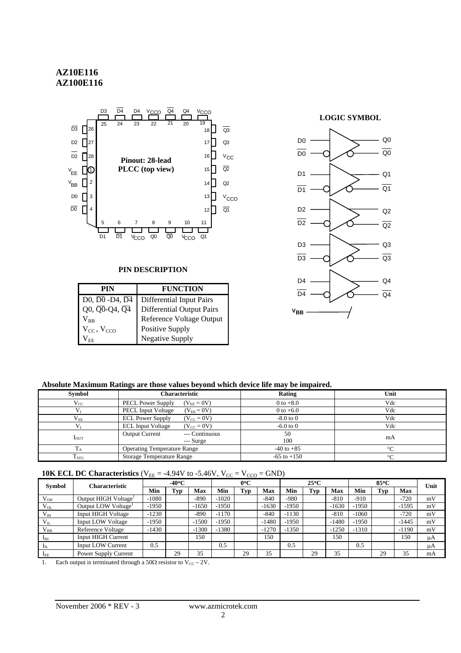## **AZ10E116 AZ100E116**



#### **PIN DESCRIPTION**

| PIN                                                               | <b>FUNCTION</b>           |
|-------------------------------------------------------------------|---------------------------|
| D <sub>0</sub> , D <sub>0</sub> - D <sub>4</sub> , D <sub>4</sub> | Differential Input Pairs  |
| Q0, Q0-Q4, Q4                                                     | Differential Output Pairs |
| $\rm V_{\rm RR}$                                                  | Reference Voltage Output  |
| $V_{CC}$ , $V_{CCO}$                                              | Positive Supply           |
| <sup>V</sup> FF                                                   | <b>Negative Supply</b>    |



#### **Absolute Maximum Ratings are those values beyond which device life may be impaired.**

| <b>Symbol</b>      | Characteristic                                       | Rating          | Unit    |
|--------------------|------------------------------------------------------|-----------------|---------|
| $V_{CC}$           | <b>PECL Power Supply</b><br>$(V_{EE} = 0V)$          | $0$ to $+8.0$   | Vdc     |
|                    | <b>PECL Input Voltage</b><br>$(V_{EE} = 0V)$         | 0 to $+6.0$     | Vdc     |
| $\rm V_{EE}$       | <b>ECL Power Supply</b><br>$(V_{CC} = 0V)$           | $-8.0$ to $0$   | Vdc     |
|                    | <b>ECL Input Voltage</b><br>$(V_{cc} = 0V)$          | $-6.0$ to $0$   | Vdc     |
| $I_{\text{OUT}}$   | --- Continuous<br><b>Output Current</b><br>--- Surge | 50<br>100       | mA      |
|                    | <b>Operating Temperature Range</b>                   | $-40$ to $+85$  | $\circ$ |
| $\mathrm{T_{STG}}$ | <b>Storage Temperature Range</b>                     | $-65$ to $+150$ | $\circ$ |

### **10K ECL DC Characteristics** ( $V_{EE} = -4.94V$  to  $-5.46V$ ,  $V_{CC} = V_{CCO} = GND$ )

| <b>Symbol</b>         | Characteristic                   |         | $-40^{\circ}$ C |            |         | $0^{\circ}$ C |         |         | $25^{\circ}$ C |         |         | $85^{\circ}$ C |            | Unit |
|-----------------------|----------------------------------|---------|-----------------|------------|---------|---------------|---------|---------|----------------|---------|---------|----------------|------------|------|
|                       |                                  | Min     | Typ             | <b>Max</b> | Min     | Typ           | Max     | Min     | Tvp            | Max     | Min     | Tvp            | <b>Max</b> |      |
| $V_{OH}$              | Output HIGH Voltage <sup>1</sup> | $-1080$ |                 | $-890$     | $-1020$ |               | $-840$  | $-980$  |                | $-810$  | $-910$  |                | $-720$     | mV   |
| $V_{OL}$              | Output LOW Voltage <sup>1</sup>  | $-1950$ |                 | $-1650$    | $-1950$ |               | $-1630$ | $-1950$ |                | $-1630$ | $-1950$ |                | $-1595$    | mV   |
| $V_{IH}$              | <b>Input HIGH Voltage</b>        | $-1230$ |                 | $-890$     | $-1170$ |               | $-840$  | $-1130$ |                | $-810$  | $-1060$ |                | $-720$     | mV   |
| $V_{IL}$              | <b>Input LOW Voltage</b>         | $-1950$ |                 | $-1500$    | $-1950$ |               | $-1480$ | $-1950$ |                | $-1480$ | $-1950$ |                | $-1445$    | mV   |
| $V_{BB}$              | Reference Voltage                | $-1430$ |                 | $-1300$    | $-1380$ |               | $-1270$ | $-1350$ |                | $-1250$ | $-1310$ |                | $-1190$    | mV   |
| $I_{IH}$              | <b>Input HIGH Current</b>        |         |                 | 150        |         |               | 150     |         |                | 150     |         |                | 150        | μA   |
| $\mathbf{I}_{\rm IL}$ | <b>Input LOW Current</b>         | 0.5     |                 |            | 0.5     |               |         | 0.5     |                |         | 0.5     |                |            | μA   |
| $I_{EE}$              | Power Supply Current             |         | 29              | 35         |         | 29            | 35      |         | 29             | 35      |         | 29             | 35         | mA   |

1. Each output is terminated through a 50 $\Omega$  resistor to V<sub>CC</sub> – 2V.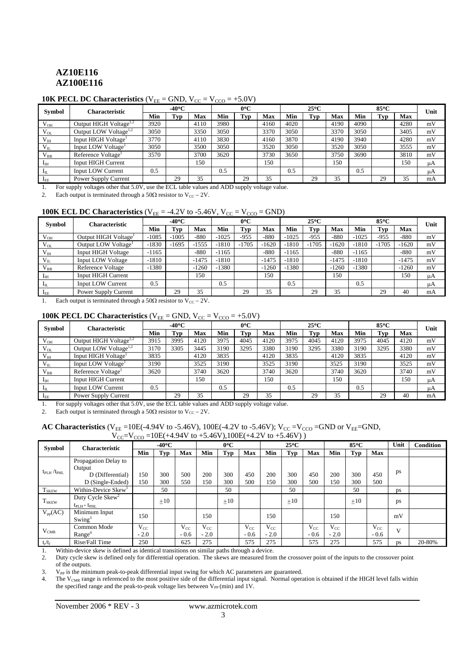## **AZ10E116 AZ100E116**

#### **10K PECL DC Characteristics**  $(V_{EE} = GND, V_{CC} = V_{CCO} = +5.0V)$

| <b>Symbol</b>   | <b>Characteristic</b>              | $-40^{\circ}$ C |     |      | $0^{\circ}C$ |     |      |      | $25^{\circ}$ C |      |      | $85^{\circ}$ C |            | Unit |
|-----------------|------------------------------------|-----------------|-----|------|--------------|-----|------|------|----------------|------|------|----------------|------------|------|
|                 |                                    | Min             | Tvp | Max  | Min          | Typ | Max  | Min  | Tvp            | Max  | Min  | Typ            | <b>Max</b> |      |
| $V_{OH}$        | Output HIGH Voltage <sup>1,2</sup> | 3920            |     | 4110 | 3980         |     | 4160 | 4020 |                | 4190 | 4090 |                | 4280       | mV   |
| $V_{OL}$        | Output LOW Voltage <sup>1,2</sup>  | 3050            |     | 3350 | 3050         |     | 3370 | 3050 |                | 3370 | 3050 |                | 3405       | mV   |
| $V_{IH}$        | Input HIGH Voltage <sup>1</sup>    | 3770            |     | 4110 | 3830         |     | 4160 | 3870 |                | 4190 | 3940 |                | 4280       | mV   |
| $V_{IL}$        | Input LOW Voltage <sup>1</sup>     | 3050            |     | 3500 | 3050         |     | 3520 | 3050 |                | 3520 | 3050 |                | 3555       | mV   |
| $V_{BB}$        | Reference Voltage <sup>1</sup>     | 3570            |     | 3700 | 3620         |     | 3730 | 3650 |                | 3750 | 3690 |                | 3810       | mV   |
| $I_{\rm IH}$    | <b>Input HIGH Current</b>          |                 |     | 150  |              |     | 150  |      |                | 150  |      |                | 150        | μA   |
| $1^{\text{II}}$ | <b>Input LOW Current</b>           | 0.5             |     |      | 0.5          |     |      | 0.5  |                |      | 0.5  |                |            | μA   |
| $1_{EE}$        | Power Supply Current               |                 | 29  | 35   |              | 29  | 35   |      | 29             | 35   |      | 29             | 35         | mA   |

1. For supply voltages other that 5.0V, use the ECL table values and ADD supply voltage value.

2. Each output is terminated through a 50 $\Omega$  resistor to V<sub>CC</sub> – 2V.

#### **100K ECL DC Characteristics** ( $V_{EE} = -4.2V$  to  $-5.46V$ ,  $V_{CC} = V_{CCO} =$  GND)

| <b>Symbol</b> | Characteristic                   | $-40^{\circ}$ C |         |            | $0^{\circ}C$ |         |         | $25^{\circ}$ C |         |         |         | $85^{\circ}$ C |            | Unit |
|---------------|----------------------------------|-----------------|---------|------------|--------------|---------|---------|----------------|---------|---------|---------|----------------|------------|------|
|               |                                  | Min             | Tvp     | <b>Max</b> | Min          | Typ     | Max     | Min            | Tvp     | Max     | Min     | Tvp            | <b>Max</b> |      |
| $V_{OH}$      | Output HIGH Voltage <sup>1</sup> | $-1085$         | $-1005$ | $-880$     | $-1025$      | $-955$  | $-880$  | $-1025$        | $-955$  | $-880$  | $-1025$ | $-955$         | $-880$     | mV   |
| $V_{OL}$      | Output LOW Voltage <sup>1</sup>  | $-1830$         | $-1695$ | $-1555$    | $-1810$      | $-1705$ | $-1620$ | $-1810$        | $-1705$ | $-1620$ | $-1810$ | $-1705$        | $-1620$    | mV   |
| $V_{IH}$      | <b>Input HIGH Voltage</b>        | $-1165$         |         | $-880$     | $-1165$      |         | $-880$  | $-1165$        |         | $-880$  | $-1165$ |                | $-880$     | mV   |
| $V_{IL}$      | <b>Input LOW Voltage</b>         | $-1810$         |         | $-1475$    | $-1810$      |         | $-1475$ | $-1810$        |         | $-1475$ | $-1810$ |                | $-1475$    | mV   |
| $V_{BB}$      | Reference Voltage                | $-1380$         |         | $-1260$    | $-1380$      |         | $-1260$ | $-1380$        |         | $-1260$ | $-1380$ |                | $-1260$    | mV   |
| $I_{\rm IH}$  | <b>Input HIGH Current</b>        |                 |         | 150        |              |         | 150     |                |         | 150     |         |                | 150        | μA   |
| $I_{IL}$      | <b>Input LOW Current</b>         | 0.5             |         |            | 0.5          |         |         | 0.5            |         |         | 0.5     |                |            | μA   |
| $I_{EE}$      | Power Supply Current             |                 | 29      | 35         |              | 29      | 35      |                | 29      | 35      |         | 29             | 40         | mA   |

1. Each output is terminated through a  $50\Omega$  resistor to  $V_{CC} - 2V$ .

### **100K PECL DC Characteristics**  $(V_{EE} = GND, V_{CC} = V_{CCO} = +5.0V)$

| <b>Symbol</b>   | Characteristic                     | $-40^{\circ}$ C |      |      | $0^{\circ}C$ |      |      | $25^{\circ}$ C |      |      |      | 85°C |            | Unit |
|-----------------|------------------------------------|-----------------|------|------|--------------|------|------|----------------|------|------|------|------|------------|------|
|                 |                                    | Min             | Typ  | Max  | Min          | Typ  | Max  | Min            | Typ  | Max  | Min  | Tvp  | <b>Max</b> |      |
| $V_{OH}$        | Output HIGH Voltage <sup>1,2</sup> | 3915            | 3995 | 4120 | 3975         | 4045 | 4120 | 3975           | 4045 | 4120 | 3975 | 4045 | 4120       | mV   |
| $V_{OL}$        | Output LOW Voltage <sup>1,2</sup>  | 3170            | 3305 | 3445 | 3190         | 3295 | 3380 | 3190           | 3295 | 3380 | 3190 | 3295 | 3380       | mV   |
| $V_{IH}$        | Input HIGH Voltage <sup>1</sup>    | 3835            |      | 4120 | 3835         |      | 4120 | 3835           |      | 4120 | 3835 |      | 4120       | mV   |
| $V_{\text{IL}}$ | Input LOW Voltage <sup>1</sup>     | 3190            |      | 3525 | 3190         |      | 3525 | 3190           |      | 3525 | 3190 |      | 3525       | mV   |
| $V_{BB}$        | Reference Voltage <sup>1</sup>     | 3620            |      | 3740 | 3620         |      | 3740 | 3620           |      | 3740 | 3620 |      | 3740       | mV   |
| 1 <sub>IH</sub> | <b>Input HIGH Current</b>          |                 |      | 150  |              |      | 150  |                |      | 150  |      |      | 150        | μA   |
| $1^{\text{II}}$ | <b>Input LOW Current</b>           | 0.5             |      |      | 0.5          |      |      | 0.5            |      |      | 0.5  |      |            | μA   |
| $1_{EE}$        | Power Supply Current               |                 | 29   | 35   |              | 29   | 35   |                | 29   | 35   |      | 29   | 40         | mA   |

1. For supply voltages other that 5.0V, use the ECL table values and ADD supply voltage value.

2. Each output is terminated through a  $50\Omega$  resistor to V<sub>CC</sub> – 2V.

#### AC Characteristics (V<sub>EE</sub> =10E(-4.94V to -5.46V), 100E(-4.2V to -5.46V); V<sub>CC</sub> =V<sub>CCO</sub> =GND or V<sub>EE</sub>=GND,  $V_{CC} = V_{CCO} = 10E(+4.94V \text{ to } +5.46V)$ ,  $100E(+4.2V \text{ to } +5.46V)$ )

| Symbol                        | <b>Characteristic</b>               |          | $-40^{\circ}$ C |          |          | $0^{\circ}$ C |            |          | $25^{\circ}$ C |            |          | 85°C       |            | Unit         | <b>Condition</b> |
|-------------------------------|-------------------------------------|----------|-----------------|----------|----------|---------------|------------|----------|----------------|------------|----------|------------|------------|--------------|------------------|
|                               |                                     | Min      | <b>Typ</b>      | Max      | Min      | Typ           | <b>Max</b> | Min      | Typ            | <b>Max</b> | Min      | <b>Typ</b> | <b>Max</b> |              |                  |
|                               | Propagation Delay to                |          |                 |          |          |               |            |          |                |            |          |            |            |              |                  |
|                               | Output                              |          |                 |          |          |               |            |          |                |            |          |            |            |              |                  |
| $t_{\rm PLH}$ / $t_{\rm PHL}$ | D (Differential)                    | 150      | 300             | 500      | 200      | 300           | 450        | 200      | 300            | 450        | 200      | 300        | 450        | ps           |                  |
|                               | D (Single-Ended)                    | 150      | 300             | 550      | 150      | 300           | 500        | 150      | 300            | 500        | 150      | 300        | 500        |              |                  |
| <b>T</b> <sub>SKEW</sub>      | Within-Device Skew <sup>1</sup>     |          | 50              |          |          | 50            |            |          | 50             |            |          | 50         |            | ps           |                  |
|                               | Duty Cycle $Skew^2$                 |          | $\pm 10$        |          |          | $\pm 10$      |            |          | $\pm 10$       |            |          | ±10        |            |              |                  |
| $T_{SKEW}$                    | $t_{\text{PLH}}$ - $t_{\text{PHL}}$ |          |                 |          |          |               |            |          |                |            |          |            |            | ps           |                  |
| $V_{pp}(AC)$                  | Minimum Input                       | 150      |                 |          | 150      |               |            | 150      |                |            | 150      |            |            | mV           |                  |
|                               | Swing <sup>3</sup>                  |          |                 |          |          |               |            |          |                |            |          |            |            |              |                  |
|                               | Common Mode                         | $V_{CC}$ |                 | $V_{CC}$ | $V_{CC}$ |               | $V_{CC}$   | $V_{CC}$ |                | $V_{CC}$   | $V_{CC}$ |            | $V_{CC}$   | $\mathbf{V}$ |                  |
| $\rm V_{CMR}$                 | Range <sup>4</sup>                  | $-2.0$   |                 | $-0.6$   | $-2.0$   |               | $-0.6$     | $-2.0$   |                | $-0.6$     | $-2.0$   |            | $-0.6$     |              |                  |
| $t_r/t_f$                     | Rise/Fall Time                      | 250      |                 | 625      | 275      |               | 575        | 275      |                | 575        | 275      |            | 575        | <b>DS</b>    | 20-80%           |

1. Within-device skew is defined as identical transitions on similar paths through a device.<br>2. Duty cycle skew is defined only for differential operation. The skews are measured from

2. Duty cycle skew is defined only for differential operation. The skews are measured from the crossover point of the inputs to the crossover point of the outputs.

3. V<sub>PP</sub> is the minimum peak-to-peak differential input swing for which AC parameters are guaranteed.

4. The V<sub>CMR</sub> range is referenced to the most positive side of the differential input signal. Normal operation is obtained if the HIGH level falls within the specified range and the peak-to-peak voltage lies between  $V_{PP}$  (min) and 1V.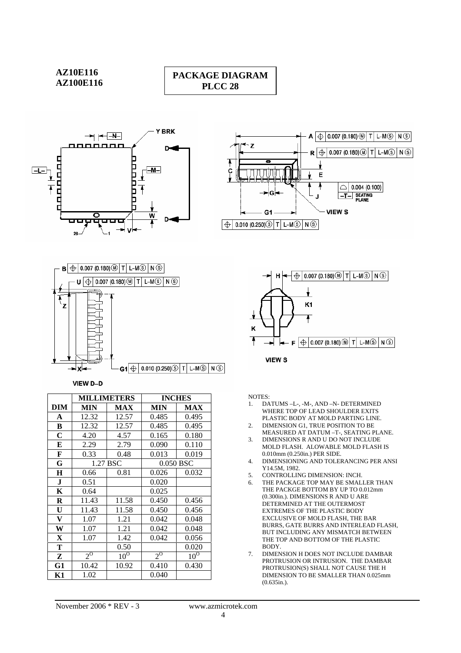

## **PACKAGE DIAGRAM PLCC 28**







VIEW D-D

|             |                    | <b>MILLIMETERS</b> |                    | <b>INCHES</b> |
|-------------|--------------------|--------------------|--------------------|---------------|
| DIM         | MIN                | <b>MAX</b>         | <b>MIN</b>         | <b>MAX</b>    |
| A           | 12.32              | 12.57              | 0.485              | 0.495         |
| B           | 12.32              | 12.57              | 0.485              | 0.495         |
| $\mathbf C$ | 4.20               | 4.57               | 0.165              | 0.180         |
| E           | 2.29               | 2.79               | 0.090              | 0.110         |
| F           | 0.33               | 0.48               | 0.013              | 0.019         |
| G           |                    | 1.27 BSC           |                    | 0.050 BSC     |
| H           | 0.66               | 0.81               | 0.026              | 0.032         |
| $\bf J$     | 0.51               |                    | 0.020              |               |
| K           | 0.64               |                    | 0.025              |               |
| R           | 11.43              | 11.58              | 0.450              | 0.456         |
| U           | 11.43              | 11.58              | 0.450              | 0.456         |
| V           | 1.07               | 1.21               | 0.042              | 0.048         |
| W           | 1.07               | 1.21               | 0.042              | 0.048         |
| X           | 1.07               | 1.42               | 0.042              | 0.056         |
| Т           |                    | 0.50               |                    | 0.020         |
| Z           | $2^{\overline{0}}$ | $10^{0}$           | $2^{\overline{0}}$ | $10^{0}$      |
| G1          | 10.42              | 10.92              | 0.410              | 0.430         |
| K1          | 1.02               |                    | 0.040              |               |



NOTES:

- 1. DATUMS –L-, -M-, AND –N- DETERMINED WHERE TOP OF LEAD SHOULDER EXITS PLASTIC BODY AT MOLD PARTING LINE.
- 2. DIMENSION G1, TRUE POSITION TO BE MEASURED AT DATUM –T-, SEATING PLANE.
- 3. DIMENSIONS R AND U DO NOT INCLUDE MOLD FLASH. ALOWABLE MOLD FLASH IS 0.010mm (0.250in.) PER SIDE.
- 4. DIMENSIONING AND TOLERANCING PER ANSI Y14.5M, 1982.
- 5. CONTROLLING DIMENSION: INCH.
- 6. THE PACKAGE TOP MAY BE SMALLER THAN THE PACKGE BOTTOM BY UP TO 0.012mm (0.300in.). DIMENSIONS R AND U ARE DETERMINED AT THE OUTERMOST EXTREMES OF THE PLASTIC BODY EXCLUSIVE OF MOLD FLASH, THE BAR BURRS, GATE BURRS AND INTERLEAD FLASH, BUT INCLUDING ANY MISMATCH BETWEEN THE TOP AND BOTTOM OF THE PLASTIC BODY.
- 7. DIMENSION H DOES NOT INCLUDE DAMBAR PROTRUSION OR INTRUSION. THE DAMBAR PROTRUSION(S) SHALL NOT CAUSE THE H DIMENSION TO BE SMALLER THAN 0.025mm (0.635in.).